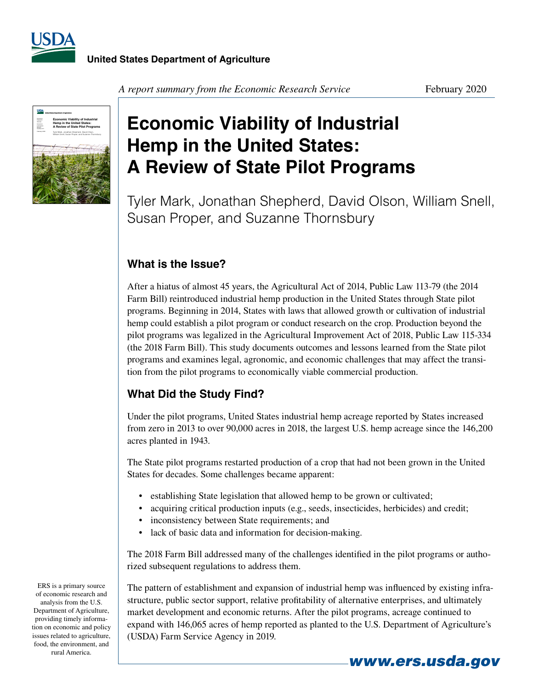



*A report summary from the Economic Research Service* February 2020

## **Economic Viability of Industrial Hemp in the United States: A Review of State Pilot Programs**

Tyler Mark, Jonathan Shepherd, David Olson, William Snell, Susan Proper, and Suzanne Thornsbury

## **What is the Issue?**

After a hiatus of almost 45 years, the Agricultural Act of 2014, Public Law 113-79 (the 2014 Farm Bill) reintroduced industrial hemp production in the United States through State pilot programs. Beginning in 2014, States with laws that allowed growth or cultivation of industrial hemp could establish a pilot program or conduct research on the crop. Production beyond the pilot programs was legalized in the Agricultural Improvement Act of 2018, Public Law 115-334 (the 2018 Farm Bill). This study documents outcomes and lessons learned from the State pilot programs and examines legal, agronomic, and economic challenges that may affect the transition from the pilot programs to economically viable commercial production.

## **What Did the Study Find?**

Under the pilot programs, United States industrial hemp acreage reported by States increased from zero in 2013 to over 90,000 acres in 2018, the largest U.S. hemp acreage since the 146,200 acres planted in 1943.

The State pilot programs restarted production of a crop that had not been grown in the United States for decades. Some challenges became apparent:

- establishing State legislation that allowed hemp to be grown or cultivated;
- acquiring critical production inputs (e.g., seeds, insecticides, herbicides) and credit;
- inconsistency between State requirements; and
- lack of basic data and information for decision-making.

The 2018 Farm Bill addressed many of the challenges identified in the pilot programs or authorized subsequent regulations to address them.

The pattern of establishment and expansion of industrial hemp was influenced by existing infrastructure, public sector support, relative profitability of alternative enterprises, and ultimately market development and economic returns. After the pilot programs, acreage continued to expand with 146,065 acres of hemp reported as planted to the U.S. Department of Agriculture's (USDA) Farm Service Agency in 2019.

*www.ers.usda.gov*

ERS is a primary source of economic research and analysis from the U.S. Department of Agriculture, providing timely information on economic and policy issues related to agriculture, food, the environment, and rural America.